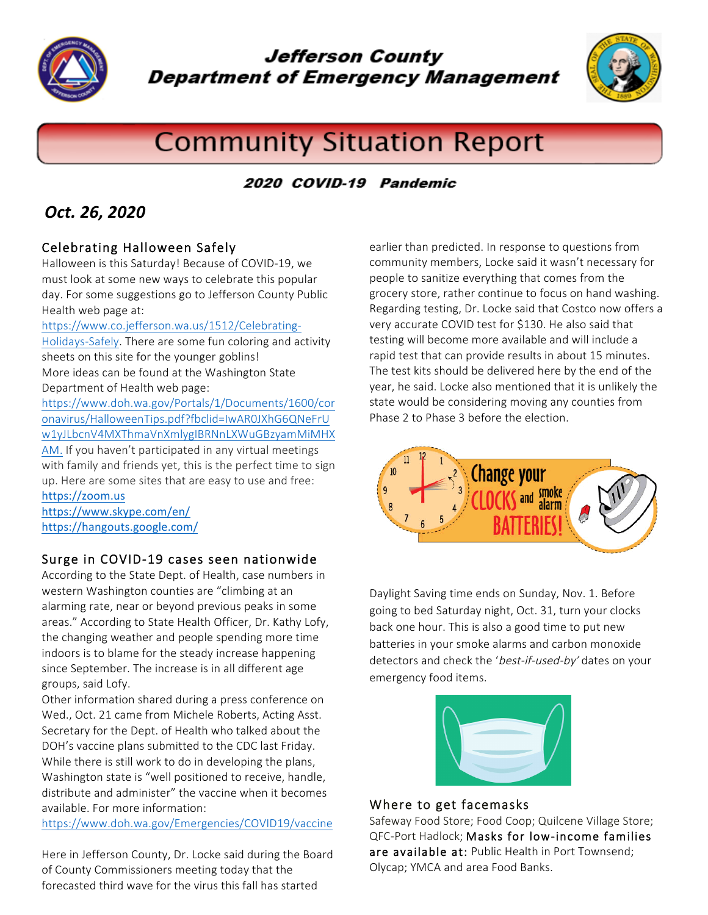

**Jefferson County Department of Emergency Management** 



# **Community Situation Report**

## 2020 COVID-19 Pandemic

# *Oct. 26, 2020*

## Celebrating Halloween Safely

Halloween is this Saturday! Because of COVID-19, we must look at some new ways to celebrate this popular day. For some suggestions go to Jefferson County Public Health web page at:

#### https://www.co.jefferson.wa.us/1512/Celebrating-

Holidays-Safely. There are some fun coloring and activity sheets on this site for the younger goblins! More ideas can be found at the Washington State Department of Health web page:

https://www.doh.wa.gov/Portals/1/Documents/1600/cor onavirus/HalloweenTips.pdf?fbclid=IwAR0JXhG6QNeFrU w1yJLbcnV4MXThmaVnXmlygIBRNnLXWuGBzyamMiMHX AM. If you haven't participated in any virtual meetings with family and friends yet, this is the perfect time to sign up. Here are some sites that are easy to use and free: https://zoom.us

https://www.skype.com/en/ https://hangouts.google.com/

## Surge in COVID-19 cases seen nationwide

According to the State Dept. of Health, case numbers in western Washington counties are "climbing at an alarming rate, near or beyond previous peaks in some areas." According to State Health Officer, Dr. Kathy Lofy, the changing weather and people spending more time indoors is to blame for the steady increase happening since September. The increase is in all different age groups, said Lofy.

Other information shared during a press conference on Wed., Oct. 21 came from Michele Roberts, Acting Asst. Secretary for the Dept. of Health who talked about the DOH's vaccine plans submitted to the CDC last Friday. While there is still work to do in developing the plans, Washington state is "well positioned to receive, handle, distribute and administer" the vaccine when it becomes available. For more information:

https://www.doh.wa.gov/Emergencies/COVID19/vaccine

Here in Jefferson County, Dr. Locke said during the Board of County Commissioners meeting today that the forecasted third wave for the virus this fall has started

earlier than predicted. In response to questions from community members, Locke said it wasn't necessary for people to sanitize everything that comes from the grocery store, rather continue to focus on hand washing. Regarding testing, Dr. Locke said that Costco now offers a very accurate COVID test for \$130. He also said that testing will become more available and will include a rapid test that can provide results in about 15 minutes. The test kits should be delivered here by the end of the year, he said. Locke also mentioned that it is unlikely the state would be considering moving any counties from Phase 2 to Phase 3 before the election.



Daylight Saving time ends on Sunday, Nov. 1. Before going to bed Saturday night, Oct. 31, turn your clocks back one hour. This is also a good time to put new batteries in your smoke alarms and carbon monoxide detectors and check the 'best-if-used-by' dates on your emergency food items.



#### Where to get facemasks

Safeway Food Store; Food Coop; Quilcene Village Store; QFC-Port Hadlock; Masks for low-income families are available at: Public Health in Port Townsend; Olycap; YMCA and area Food Banks.